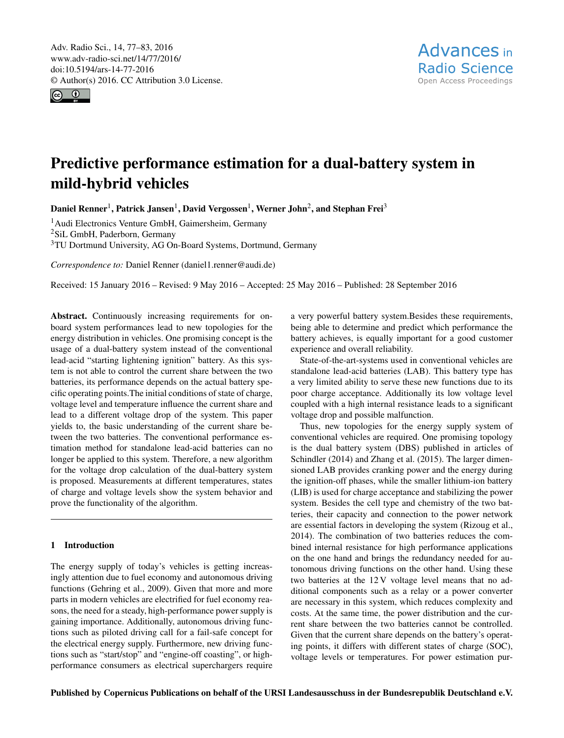<span id="page-0-1"></span>Adv. Radio Sci., 14, 77–83, 2016 www.adv-radio-sci.net/14/77/2016/ doi:10.5194/ars-14-77-2016 © Author(s) 2016. CC Attribution 3.0 License.



# Predictive performance estimation for a dual-battery system in mild-hybrid vehicles

Daniel Renner<sup>[1](#page-0-0)</sup>, Patrick Jansen<sup>1</sup>, David Vergossen<sup>1</sup>, Werner John<sup>[2](#page-0-0)</sup>, and Stephan Frei<sup>[3](#page-0-0)</sup>

<sup>1</sup> Audi Electronics Venture GmbH, Gaimersheim, Germany <sup>2</sup>SiL GmbH, Paderborn, Germany <sup>3</sup>TU Dortmund University, AG On-Board Systems, Dortmund, Germany

*Correspondence to:* Daniel Renner (daniel1.renner@audi.de)

Received: 15 January 2016 – Revised: 9 May 2016 – Accepted: 25 May 2016 – Published: 28 September 2016

<span id="page-0-0"></span>Abstract. Continuously increasing requirements for onboard system performances lead to new topologies for the energy distribution in vehicles. One promising concept is the usage of a dual-battery system instead of the conventional lead-acid "starting lightening ignition" battery. As this system is not able to control the current share between the two batteries, its performance depends on the actual battery specific operating points.The initial conditions of state of charge, voltage level and temperature influence the current share and lead to a different voltage drop of the system. This paper yields to, the basic understanding of the current share between the two batteries. The conventional performance estimation method for standalone lead-acid batteries can no longer be applied to this system. Therefore, a new algorithm for the voltage drop calculation of the dual-battery system is proposed. Measurements at different temperatures, states of charge and voltage levels show the system behavior and prove the functionality of the algorithm.

# 1 Introduction

The energy supply of today's vehicles is getting increasingly attention due to fuel economy and autonomous driving functions [\(Gehring et al.,](#page-6-0) [2009\)](#page-6-0). Given that more and more parts in modern vehicles are electrified for fuel economy reasons, the need for a steady, high-performance power supply is gaining importance. Additionally, autonomous driving functions such as piloted driving call for a fail-safe concept for the electrical energy supply. Furthermore, new driving functions such as "start/stop" and "engine-off coasting", or highperformance consumers as electrical superchargers require a very powerful battery system.Besides these requirements, being able to determine and predict which performance the battery achieves, is equally important for a good customer experience and overall reliability.

State-of-the-art-systems used in conventional vehicles are standalone lead-acid batteries (LAB). This battery type has a very limited ability to serve these new functions due to its poor charge acceptance. Additionally its low voltage level coupled with a high internal resistance leads to a significant voltage drop and possible malfunction.

Thus, new topologies for the energy supply system of conventional vehicles are required. One promising topology is the dual battery system (DBS) published in articles of [Schindler](#page-6-1) [\(2014\)](#page-6-1) and [Zhang et al.](#page-6-2) [\(2015\)](#page-6-2). The larger dimensioned LAB provides cranking power and the energy during the ignition-off phases, while the smaller lithium-ion battery (LIB) is used for charge acceptance and stabilizing the power system. Besides the cell type and chemistry of the two batteries, their capacity and connection to the power network are essential factors in developing the system [\(Rizoug et al.,](#page-6-3) [2014\)](#page-6-3). The combination of two batteries reduces the combined internal resistance for high performance applications on the one hand and brings the redundancy needed for autonomous driving functions on the other hand. Using these two batteries at the 12 V voltage level means that no additional components such as a relay or a power converter are necessary in this system, which reduces complexity and costs. At the same time, the power distribution and the current share between the two batteries cannot be controlled. Given that the current share depends on the battery's operating points, it differs with different states of charge (SOC), voltage levels or temperatures. For power estimation pur-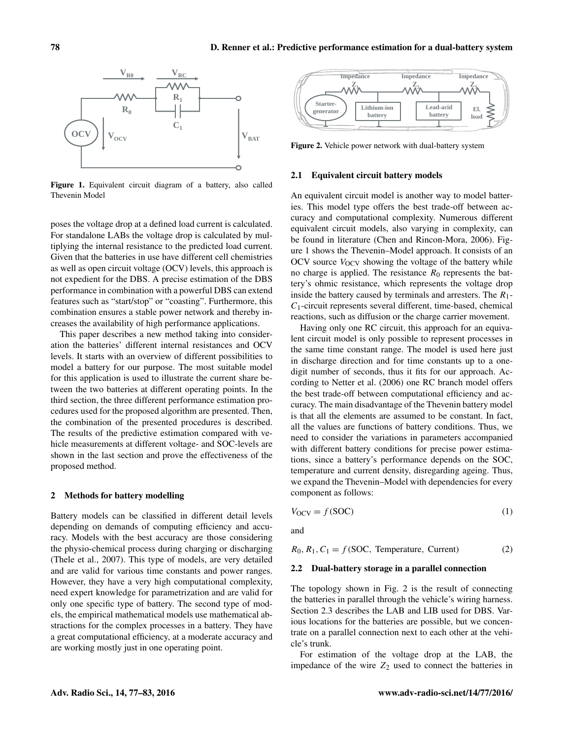<span id="page-1-0"></span>

Figure 1. Equivalent circuit diagram of a battery, also called Thevenin Model

poses the voltage drop at a defined load current is calculated. For standalone LABs the voltage drop is calculated by multiplying the internal resistance to the predicted load current. Given that the batteries in use have different cell chemistries as well as open circuit voltage (OCV) levels, this approach is not expedient for the DBS. A precise estimation of the DBS performance in combination with a powerful DBS can extend features such as "start/stop" or "coasting". Furthermore, this combination ensures a stable power network and thereby increases the availability of high performance applications.

This paper describes a new method taking into consideration the batteries' different internal resistances and OCV levels. It starts with an overview of different possibilities to model a battery for our purpose. The most suitable model for this application is used to illustrate the current share between the two batteries at different operating points. In the third section, the three different performance estimation procedures used for the proposed algorithm are presented. Then, the combination of the presented procedures is described. The results of the predictive estimation compared with vehicle measurements at different voltage- and SOC-levels are shown in the last section and prove the effectiveness of the proposed method.

#### 2 Methods for battery modelling

Battery models can be classified in different detail levels depending on demands of computing efficiency and accuracy. Models with the best accuracy are those considering the physio-chemical process during charging or discharging [\(Thele et al.,](#page-6-4) [2007\)](#page-6-4). This type of models, are very detailed and are valid for various time constants and power ranges. However, they have a very high computational complexity, need expert knowledge for parametrization and are valid for only one specific type of battery. The second type of models, the empirical mathematical models use mathematical abstractions for the complex processes in a battery. They have a great computational efficiency, at a moderate accuracy and are working mostly just in one operating point.

<span id="page-1-1"></span>

Figure 2. Vehicle power network with dual-battery system

#### 2.1 Equivalent circuit battery models

An equivalent circuit model is another way to model batteries. This model type offers the best trade-off between accuracy and computational complexity. Numerous different equivalent circuit models, also varying in complexity, can be found in literature [\(Chen and Rincon-Mora,](#page-5-0) [2006\)](#page-5-0). Figure [1](#page-1-0) shows the Thevenin–Model approach. It consists of an OCV source  $V_{\text{OCV}}$  showing the voltage of the battery while no charge is applied. The resistance  $R_0$  represents the battery's ohmic resistance, which represents the voltage drop inside the battery caused by terminals and arresters. The  $R_1$ - $C_1$ -circuit represents several different, time-based, chemical reactions, such as diffusion or the charge carrier movement.

Having only one RC circuit, this approach for an equivalent circuit model is only possible to represent processes in the same time constant range. The model is used here just in discharge direction and for time constants up to a onedigit number of seconds, thus it fits for our approach. According to [Netter et al.](#page-6-5) [\(2006\)](#page-6-5) one RC branch model offers the best trade-off between computational efficiency and accuracy. The main disadvantage of the Thevenin battery model is that all the elements are assumed to be constant. In fact, all the values are functions of battery conditions. Thus, we need to consider the variations in parameters accompanied with different battery conditions for precise power estimations, since a battery's performance depends on the SOC, temperature and current density, disregarding ageing. Thus, we expand the Thevenin–Model with dependencies for every component as follows:

$$
V_{\text{OCV}} = f(\text{SOC})\tag{1}
$$

and

 $R_0, R_1, C_1 = f(SOC, Temperature, Current)$  (2)

### 2.2 Dual-battery storage in a parallel connection

The topology shown in Fig. [2](#page-1-1) is the result of connecting the batteries in parallel through the vehicle's wiring harness. Section 2.3 describes the LAB and LIB used for DBS. Various locations for the batteries are possible, but we concentrate on a parallel connection next to each other at the vehicle's trunk.

For estimation of the voltage drop at the LAB, the impedance of the wire  $Z_2$  used to connect the batteries in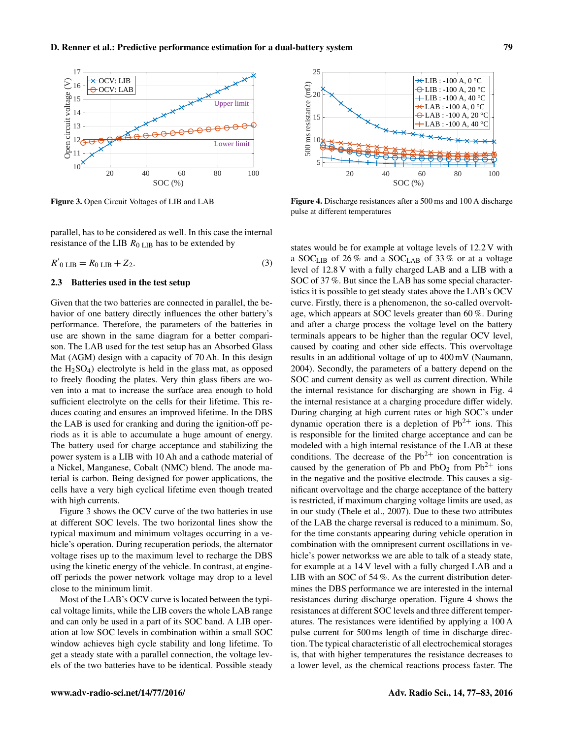<span id="page-2-0"></span>

Figure 3. Open Circuit Voltages of LIB and LAB

parallel, has to be considered as well. In this case the internal resistance of the LIB  $R_{0 \text{ LIB}}$  has to be extended by

 $R'_{0 \text{ LIB}} = R_{0 \text{ LIB}} + Z_{2}.$  (3)

# 2.3 Batteries used in the test setup

Given that the two batteries are connected in parallel, the behavior of one battery directly influences the other battery's performance. Therefore, the parameters of the batteries in use are shown in the same diagram for a better comparison. The LAB used for the test setup has an Absorbed Glass Mat (AGM) design with a capacity of 70 Ah. In this design the  $H_2SO_4$ ) electrolyte is held in the glass mat, as opposed to freely flooding the plates. Very thin glass fibers are woven into a mat to increase the surface area enough to hold sufficient electrolyte on the cells for their lifetime. This reduces coating and ensures an improved lifetime. In the DBS the LAB is used for cranking and during the ignition-off periods as it is able to accumulate a huge amount of energy. The battery used for charge acceptance and stabilizing the power system is a LIB with 10 Ah and a cathode material of a Nickel, Manganese, Cobalt (NMC) blend. The anode material is carbon. Being designed for power applications, the cells have a very high cyclical lifetime even though treated with high currents.

Figure [3](#page-2-0) shows the OCV curve of the two batteries in use at different SOC levels. The two horizontal lines show the typical maximum and minimum voltages occurring in a vehicle's operation. During recuperation periods, the alternator voltage rises up to the maximum level to recharge the DBS using the kinetic energy of the vehicle. In contrast, at engineoff periods the power network voltage may drop to a level close to the minimum limit.

Most of the LAB's OCV curve is located between the typical voltage limits, while the LIB covers the whole LAB range and can only be used in a part of its SOC band. A LIB operation at low SOC levels in combination within a small SOC window achieves high cycle stability and long lifetime. To get a steady state with a parallel connection, the voltage levels of the two batteries have to be identical. Possible steady

<span id="page-2-1"></span>

Figure 4. Discharge resistances after a 500 ms and 100 A discharge pulse at different temperatures

states would be for example at voltage levels of 12.2 V with a SOC<sub>LIB</sub> of 26% and a SOC<sub>LAB</sub> of 33% or at a voltage level of 12.8 V with a fully charged LAB and a LIB with a SOC of 37 %. But since the LAB has some special characteristics it is possible to get steady states above the LAB's OCV curve. Firstly, there is a phenomenon, the so-called overvoltage, which appears at SOC levels greater than 60 %. During and after a charge process the voltage level on the battery terminals appears to be higher than the regular OCV level, caused by coating and other side effects. This overvoltage results in an additional voltage of up to 400 mV [\(Naumann,](#page-6-6) [2004\)](#page-6-6). Secondly, the parameters of a battery depend on the SOC and current density as well as current direction. While the internal resistance for discharging are shown in Fig. 4 the internal resistance at a charging procedure differ widely. During charging at high current rates or high SOC's under dynamic operation there is a depletion of  $Pb^{2+}$  ions. This is responsible for the limited charge acceptance and can be modeled with a high internal resistance of the LAB at these conditions. The decrease of the  $Pb^{2+}$  ion concentration is caused by the generation of Pb and PbO<sub>2</sub> from  $Pb^{2+}$  ions in the negative and the positive electrode. This causes a significant overvoltage and the charge acceptance of the battery is restricted, if maximum charging voltage limits are used, as in our study [\(Thele et al.,](#page-6-4) [2007\)](#page-6-4). Due to these two attributes of the LAB the charge reversal is reduced to a minimum. So, for the time constants appearing during vehicle operation in combination with the omnipresent current oscillations in vehicle's power networkss we are able to talk of a steady state, for example at a 14 V level with a fully charged LAB and a LIB with an SOC of 54 %. As the current distribution determines the DBS performance we are interested in the internal resistances during discharge operation. Figure [4](#page-2-1) shows the resistances at different SOC levels and three different temperatures. The resistances were identified by applying a 100 A pulse current for 500 ms length of time in discharge direction. The typical characteristic of all electrochemical storages is, that with higher temperatures the resistance decreases to a lower level, as the chemical reactions process faster. The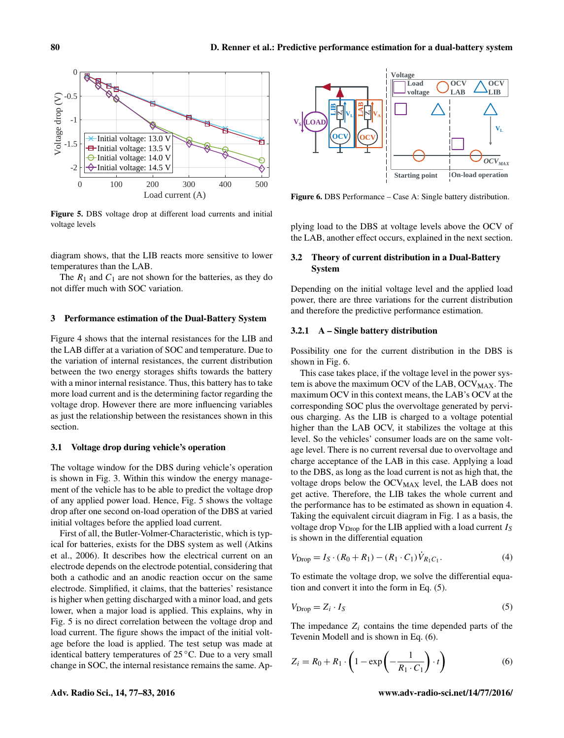<span id="page-3-0"></span>

Figure 5. DBS voltage drop at different load currents and initial voltage levels

diagram shows, that the LIB reacts more sensitive to lower temperatures than the LAB.

The  $R_1$  and  $C_1$  are not shown for the batteries, as they do not differ much with SOC variation.

# 3 Performance estimation of the Dual-Battery System

Figure [4](#page-2-1) shows that the internal resistances for the LIB and the LAB differ at a variation of SOC and temperature. Due to the variation of internal resistances, the current distribution between the two energy storages shifts towards the battery with a minor internal resistance. Thus, this battery has to take more load current and is the determining factor regarding the voltage drop. However there are more influencing variables as just the relationship between the resistances shown in this section.

### 3.1 Voltage drop during vehicle's operation

The voltage window for the DBS during vehicle's operation is shown in Fig. [3.](#page-2-0) Within this window the energy management of the vehicle has to be able to predict the voltage drop of any applied power load. Hence, Fig. [5](#page-3-0) shows the voltage drop after one second on-load operation of the DBS at varied initial voltages before the applied load current.

First of all, the Butler-Volmer-Characteristic, which is typical for batteries, exists for the DBS system as well [\(Atkins](#page-5-1) [et al.,](#page-5-1) [2006\)](#page-5-1). It describes how the electrical current on an electrode depends on the electrode potential, considering that both a cathodic and an anodic reaction occur on the same electrode. Simplified, it claims, that the batteries' resistance is higher when getting discharged with a minor load, and gets lower, when a major load is applied. This explains, why in Fig. 5 is no direct correlation between the voltage drop and load current. The figure shows the impact of the initial voltage before the load is applied. The test setup was made at identical battery temperatures of 25 ◦C. Due to a very small change in SOC, the internal resistance remains the same. Ap-

<span id="page-3-1"></span>

Figure 6. DBS Performance – Case A: Single battery distribution.

plying load to the DBS at voltage levels above the OCV of the LAB, another effect occurs, explained in the next section.

# 3.2 Theory of current distribution in a Dual-Battery System

Depending on the initial voltage level and the applied load power, there are three variations for the current distribution and therefore the predictive performance estimation.

## 3.2.1 A – Single battery distribution

Possibility one for the current distribution in the DBS is shown in Fig. [6.](#page-3-1)

This case takes place, if the voltage level in the power system is above the maximum OCV of the LAB,  $OCV<sub>MAX</sub>$ . The maximum OCV in this context means, the LAB's OCV at the corresponding SOC plus the overvoltage generated by pervious charging. As the LIB is charged to a voltage potential higher than the LAB OCV, it stabilizes the voltage at this level. So the vehicles' consumer loads are on the same voltage level. There is no current reversal due to overvoltage and charge acceptance of the LAB in this case. Applying a load to the DBS, as long as the load current is not as high that, the voltage drops below the OCV<sub>MAX</sub> level, the LAB does not get active. Therefore, the LIB takes the whole current and the performance has to be estimated as shown in equation 4. Taking the equivalent circuit diagram in Fig. [1](#page-1-0) as a basis, the voltage drop  $V<sub>Drop</sub>$  for the LIB applied with a load current  $I<sub>S</sub>$ is shown in the differential equation

$$
V_{\text{Drop}} = I_S \cdot (R_0 + R_1) - (R_1 \cdot C_1) \dot{V}_{R_1 C_1}.
$$
\n(4)

To estimate the voltage drop, we solve the differential equation and convert it into the form in Eq. (5).

$$
V_{\text{Drop}} = Z_i \cdot I_S \tag{5}
$$

The impedance  $Z_i$  contains the time depended parts of the Tevenin Modell and is shown in Eq. (6).

$$
Z_i = R_0 + R_1 \cdot \left(1 - \exp\left(-\frac{1}{R_1 \cdot C_1}\right) \cdot t\right) \tag{6}
$$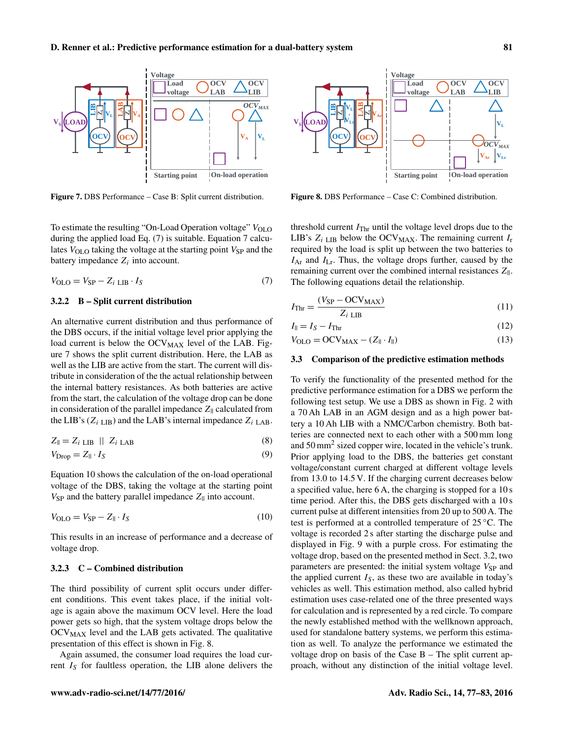<span id="page-4-0"></span>

Figure 7. DBS Performance – Case B: Split current distribution.

To estimate the resulting "On-Load Operation voltage"  $V_{\text{OLO}}$ during the applied load Eq. (7) is suitable. Equation 7 calculates  $V_{\text{OLO}}$  taking the voltage at the starting point  $V_{\text{SP}}$  and the battery impedance  $Z_i$  into account.

$$
V_{\text{OLO}} = V_{\text{SP}} - Z_i \text{LB} \cdot I_S \tag{7}
$$

# 3.2.2 B – Split current distribution

An alternative current distribution and thus performance of the DBS occurs, if the initial voltage level prior applying the load current is below the  $OCV<sub>MAX</sub>$  level of the LAB. Figure [7](#page-4-0) shows the split current distribution. Here, the LAB as well as the LIB are active from the start. The current will distribute in consideration of the the actual relationship between the internal battery resistances. As both batteries are active from the start, the calculation of the voltage drop can be done in consideration of the parallel impedance  $Z_{\parallel}$  calculated from the LIB's ( $Z_i$ <sub>LIB</sub>) and the LAB's internal impedance  $Z_i$ <sub>LAB</sub>.

$$
Z_{\parallel} = Z_i \text{LIB} \parallel Z_i \text{LAB} \tag{8}
$$

$$
V_{\text{Drop}} = Z_{\parallel} \cdot I_S \tag{9}
$$

Equation 10 shows the calculation of the on-load operational voltage of the DBS, taking the voltage at the starting point  $V_{SP}$  and the battery parallel impedance  $Z_{\parallel}$  into account.

$$
V_{\text{OLO}} = V_{\text{SP}} - Z_{\parallel} \cdot I_{S} \tag{10}
$$

This results in an increase of performance and a decrease of voltage drop.

# 3.2.3 C – Combined distribution

The third possibility of current split occurs under different conditions. This event takes place, if the initial voltage is again above the maximum OCV level. Here the load power gets so high, that the system voltage drops below the  $OCV<sub>MAX</sub>$  level and the LAB gets activated. The qualitative presentation of this effect is shown in Fig. [8.](#page-4-1)

Again assumed, the consumer load requires the load current  $I<sub>S</sub>$  for faultless operation, the LIB alone delivers the

<span id="page-4-1"></span>

Figure 8. DBS Performance – Case C: Combined distribution.

threshold current  $I_{\text{Thr}}$  until the voltage level drops due to the LIB's  $Z_i$  LIB below the OCV<sub>MAX</sub>. The remaining current  $I_r$ required by the load is split up between the two batteries to  $I_{\text{Ar}}$  and  $I_{\text{Lr}}$ . Thus, the voltage drops further, caused by the remaining current over the combined internal resistances  $Z_{\parallel}$ . The following equations detail the relationship.

$$
I_{\text{Thr}} = \frac{(V_{\text{SP}} - \text{OCV}_{\text{MAX}})}{Z_i \text{ LIB}}
$$
\n(11)

$$
I_{\parallel} = I_S - I_{\text{Thr}} \tag{12}
$$

$$
V_{\text{OLO}} = \text{OCV}_{\text{MAX}} - (Z_{\parallel} \cdot I_{\parallel}) \tag{13}
$$

# 3.3 Comparison of the predictive estimation methods

To verify the functionality of the presented method for the predictive performance estimation for a DBS we perform the following test setup. We use a DBS as shown in Fig. [2](#page-1-1) with a 70 Ah LAB in an AGM design and as a high power battery a 10 Ah LIB with a NMC/Carbon chemistry. Both batteries are connected next to each other with a 500 mm long and 50 mm<sup>2</sup> sized copper wire, located in the vehicle's trunk. Prior applying load to the DBS, the batteries get constant voltage/constant current charged at different voltage levels from 13.0 to 14.5 V. If the charging current decreases below a specified value, here 6 A, the charging is stopped for a 10 s time period. After this, the DBS gets discharged with a 10 s current pulse at different intensities from 20 up to 500 A. The test is performed at a controlled temperature of 25 ◦C. The voltage is recorded 2 s after starting the discharge pulse and displayed in Fig. 9 with a purple cross. For estimating the voltage drop, based on the presented method in Sect. 3.2, two parameters are presented: the initial system voltage  $V_{SP}$  and the applied current  $I<sub>S</sub>$ , as these two are available in today's vehicles as well. This estimation method, also called hybrid estimation uses case-related one of the three presented ways for calculation and is represented by a red circle. To compare the newly established method with the wellknown approach, used for standalone battery systems, we perform this estimation as well. To analyze the performance we estimated the voltage drop on basis of the Case B – The split current approach, without any distinction of the initial voltage level.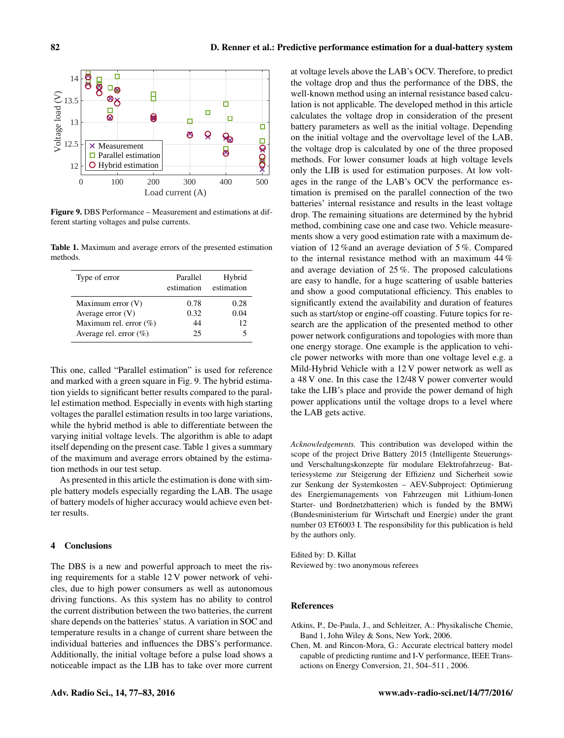<span id="page-5-2"></span>

Figure 9. DBS Performance – Measurement and estimations at different starting voltages and pulse currents.

<span id="page-5-3"></span>Table 1. Maximum and average errors of the presented estimation methods.

| Type of error             | Parallel<br>estimation | Hybrid<br>estimation |
|---------------------------|------------------------|----------------------|
| Maximum error (V)         | 0.78                   | 0.28                 |
| Average error $(V)$       | 0.32                   | 0.04                 |
| Maximum rel. error $(\%)$ | 44                     | 12                   |
| Average rel. error $(\%)$ | 25                     | 5                    |

This one, called "Parallel estimation" is used for reference and marked with a green square in Fig. [9.](#page-5-2) The hybrid estimation yields to significant better results compared to the parallel estimation method. Especially in events with high starting voltages the parallel estimation results in too large variations, while the hybrid method is able to differentiate between the varying initial voltage levels. The algorithm is able to adapt itself depending on the present case. Table [1](#page-5-3) gives a summary of the maximum and average errors obtained by the estimation methods in our test setup.

As presented in this article the estimation is done with simple battery models especially regarding the LAB. The usage of battery models of higher accuracy would achieve even better results.

# 4 Conclusions

The DBS is a new and powerful approach to meet the rising requirements for a stable 12 V power network of vehicles, due to high power consumers as well as autonomous driving functions. As this system has no ability to control the current distribution between the two batteries, the current share depends on the batteries' status. A variation in SOC and temperature results in a change of current share between the individual batteries and influences the DBS's performance. Additionally, the initial voltage before a pulse load shows a noticeable impact as the LIB has to take over more current at voltage levels above the LAB's OCV. Therefore, to predict the voltage drop and thus the performance of the DBS, the well-known method using an internal resistance based calculation is not applicable. The developed method in this article calculates the voltage drop in consideration of the present battery parameters as well as the initial voltage. Depending on the initial voltage and the overvoltage level of the LAB, the voltage drop is calculated by one of the three proposed methods. For lower consumer loads at high voltage levels only the LIB is used for estimation purposes. At low voltages in the range of the LAB's OCV the performance estimation is premised on the parallel connection of the two batteries' internal resistance and results in the least voltage drop. The remaining situations are determined by the hybrid method, combining case one and case two. Vehicle measurements show a very good estimation rate with a maximum deviation of 12 %and an average deviation of 5 %. Compared to the internal resistance method with an maximum 44 % and average deviation of 25 %. The proposed calculations are easy to handle, for a huge scattering of usable batteries and show a good computational efficiency. This enables to significantly extend the availability and duration of features such as start/stop or engine-off coasting. Future topics for research are the application of the presented method to other power network configurations and topologies with more than one energy storage. One example is the application to vehicle power networks with more than one voltage level e.g. a Mild-Hybrid Vehicle with a 12 V power network as well as a 48 V one. In this case the 12/48 V power converter would take the LIB's place and provide the power demand of high power applications until the voltage drops to a level where the LAB gets active.

*Acknowledgements.* This contribution was developed within the scope of the project Drive Battery 2015 (Intelligente Steuerungsund Verschaltungskonzepte für modulare Elektrofahrzeug- Batteriesysteme zur Steigerung der Effizienz und Sicherheit sowie zur Senkung der Systemkosten – AEV-Subproject: Optimierung des Energiemanagements von Fahrzeugen mit Lithium-Ionen Starter- und Bordnetzbatterien) which is funded by the BMWi (Bundesministerium für Wirtschaft und Energie) under the grant number 03 ET6003 I. The responsibility for this publication is held by the authors only.

Edited by: D. Killat Reviewed by: two anonymous referees

# References

<span id="page-5-1"></span>Atkins, P., De-Paula, J., and Schleitzer, A.: Physikalische Chemie, Band 1, John Wiley & Sons, New York, 2006.

<span id="page-5-0"></span>Chen, M. and Rincon-Mora, G.: Accurate electrical battery model capable of predicting runtime and I-V performance, IEEE Transactions on Energy Conversion, 21, 504–511 , 2006.